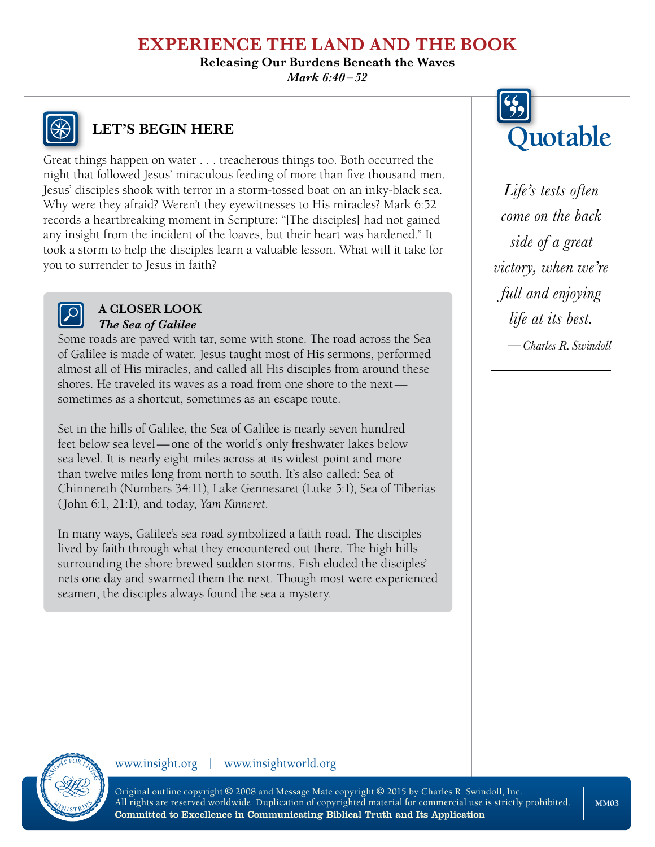**Releasing Our Burdens Beneath the Waves** *Mark 6:40–52*



# **LET'S BEGIN HERE**

Great things happen on water . . . treacherous things too. Both occurred the night that followed Jesus' miraculous feeding of more than five thousand men. Jesus' disciples shook with terror in a storm-tossed boat on an inky-black sea. Why were they afraid? Weren't they eyewitnesses to His miracles? Mark 6:52 records a heartbreaking moment in Scripture: "[The disciples] had not gained any insight from the incident of the loaves, but their heart was hardened." It took a storm to help the disciples learn a valuable lesson. What will it take for you to surrender to Jesus in faith?



#### **A CLOSER LOOK** *The Sea of Galilee*

Some roads are paved with tar, some with stone. The road across the Sea of Galilee is made of water. Jesus taught most of His sermons, performed almost all of His miracles, and called all His disciples from around these shores. He traveled its waves as a road from one shore to the next sometimes as a shortcut, sometimes as an escape route.

Set in the hills of Galilee, the Sea of Galilee is nearly seven hundred feet below sea level—one of the world's only freshwater lakes below sea level. It is nearly eight miles across at its widest point and more than twelve miles long from north to south. It's also called: Sea of Chinnereth (Numbers 34:11), Lake Gennesaret (Luke 5:1), Sea of Tiberias (John 6:1, 21:1), and today, *Yam Kinneret*.

In many ways, Galilee's sea road symbolized a faith road. The disciples lived by faith through what they encountered out there. The high hills surrounding the shore brewed sudden storms. Fish eluded the disciples' nets one day and swarmed them the next. Though most were experienced seamen, the disciples always found the sea a mystery.



*Life's tests often come on the back side of a great victory, when we're full and enjoying life at its best.*

*—Charles R. Swindoll*

#### www.insight.org | www.insightworld.org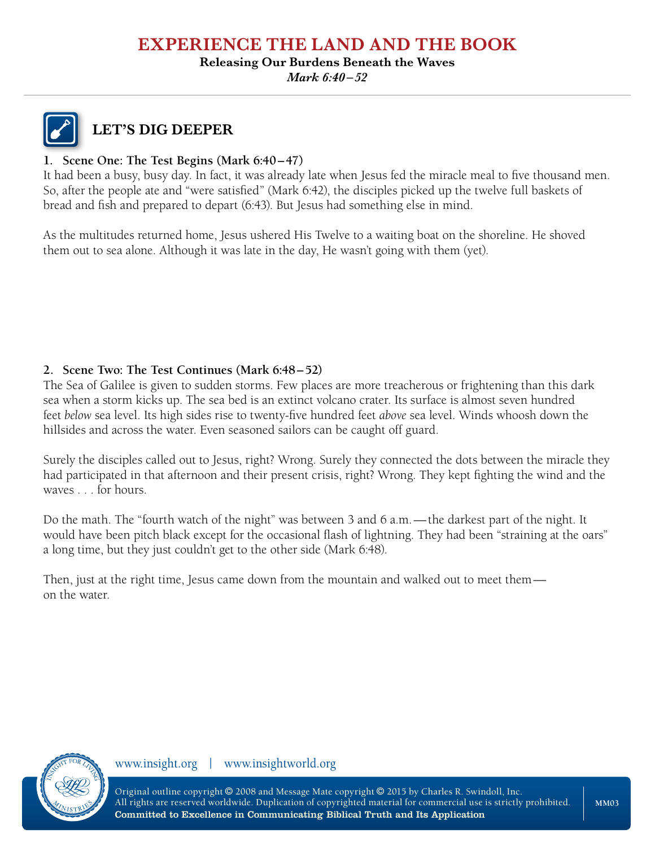#### **Releasing Our Burdens Beneath the Waves**

*Mark 6:40–52*



### **LET'S DIG DEEPER**

#### **1. Scene One: The Test Begins (Mark 6:40–47)**

It had been a busy, busy day. In fact, it was already late when Jesus fed the miracle meal to five thousand men. So, after the people ate and "were satisfied" (Mark 6:42), the disciples picked up the twelve full baskets of bread and fish and prepared to depart (6:43). But Jesus had something else in mind.

As the multitudes returned home, Jesus ushered His Twelve to a waiting boat on the shoreline. He shoved them out to sea alone. Although it was late in the day, He wasn't going with them (yet).

#### **2. Scene Two: The Test Continues (Mark 6:48–52)**

The Sea of Galilee is given to sudden storms. Few places are more treacherous or frightening than this dark sea when a storm kicks up. The sea bed is an extinct volcano crater. Its surface is almost seven hundred feet *below* sea level. Its high sides rise to twenty-five hundred feet *above* sea level. Winds whoosh down the hillsides and across the water. Even seasoned sailors can be caught off guard.

Surely the disciples called out to Jesus, right? Wrong. Surely they connected the dots between the miracle they had participated in that afternoon and their present crisis, right? Wrong. They kept fighting the wind and the waves . . . for hours.

Do the math. The "fourth watch of the night" was between 3 and 6 a.m.—the darkest part of the night. It would have been pitch black except for the occasional flash of lightning. They had been "straining at the oars" a long time, but they just couldn't get to the other side (Mark 6:48).

Then, just at the right time, Jesus came down from the mountain and walked out to meet them on the water.



www.insight.org | www.insightworld.org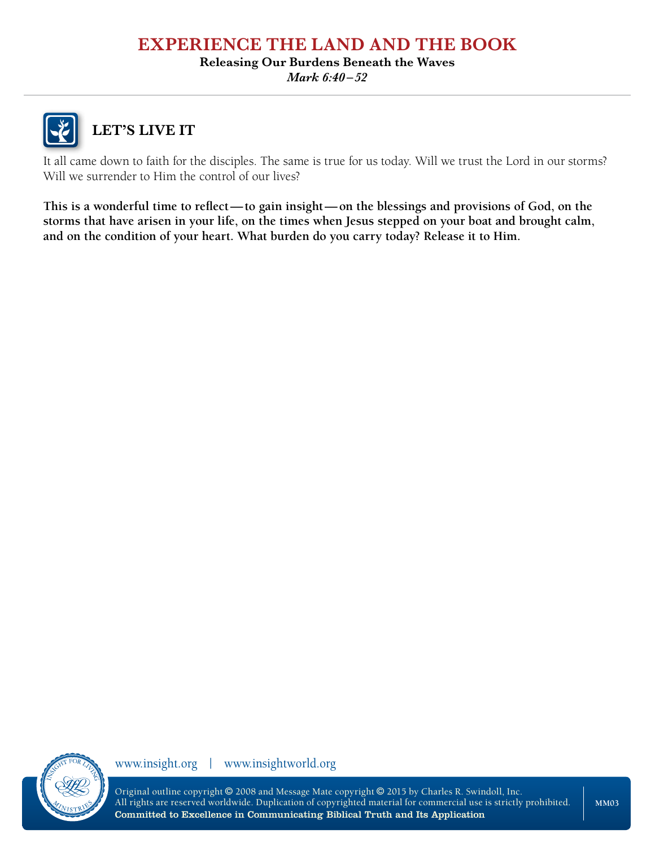#### **Releasing Our Burdens Beneath the Waves**

*Mark 6:40–52*



# **LET'S LIVE IT**

It all came down to faith for the disciples. The same is true for us today. Will we trust the Lord in our storms? Will we surrender to Him the control of our lives?

**This is a wonderful time to reflect—to gain insight—on the blessings and provisions of God, on the storms that have arisen in your life, on the times when Jesus stepped on your boat and brought calm, and on the condition of your heart. What burden do you carry today? Release it to Him.**



www.insight.org | www.insightworld.org